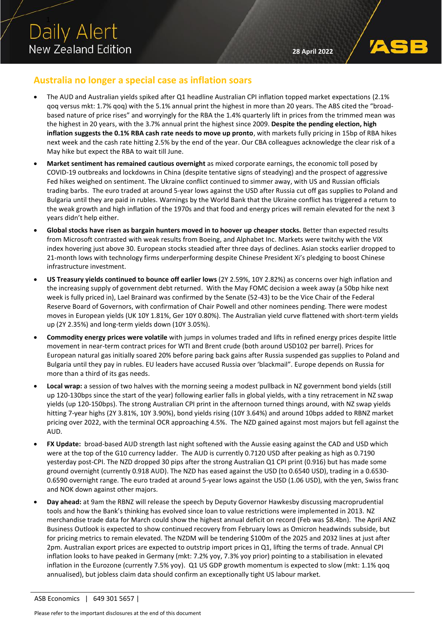## **Australia no longer a special case as inflation soars**

- The AUD and Australian yields spiked after Q1 headline Australian CPI inflation topped market expectations (2.1% qoq versus mkt: 1.7% qoq) with the 5.1% annual print the highest in more than 20 years. The ABS cited the "broadbased nature of price rises" and worryingly for the RBA the 1.4% quarterly lift in prices from the trimmed mean was the highest in 20 years, with the 3.7% annual print the highest since 2009. **Despite the pending election, high inflation suggests the 0.1% RBA cash rate needs to move up pronto**, with markets fully pricing in 15bp of RBA hikes next week and the cash rate hitting 2.5% by the end of the year. Our CBA colleagues acknowledge the clear risk of a May hike but expect the RBA to wait till June.
- **Market sentiment has remained cautious overnight** as mixed corporate earnings, the economic toll posed by COVID-19 outbreaks and lockdowns in China (despite tentative signs of steadying) and the prospect of aggressive Fed hikes weighed on sentiment. The Ukraine conflict continued to simmer away, with US and Russian officials trading barbs. The euro traded at around 5-year lows against the USD after Russia cut off gas supplies to Poland and Bulgaria until they are paid in rubles. Warnings by the World Bank that the Ukraine conflict has triggered a return to the weak growth and high inflation of the 1970s and that food and energy prices will remain elevated for the next 3 years didn't help either.
- **Global stocks have risen as bargain hunters moved in to hoover up cheaper stocks.** Better than expected results from Microsoft contrasted with weak results from Boeing, and Alphabet Inc. Markets were twitchy with the VIX index hovering just above 30. European stocks steadied after three days of declines. Asian stocks earlier dropped to 21-month lows with technology firms underperforming despite Chinese President Xi's pledging to boost Chinese infrastructure investment.
- **US Treasury yields continued to bounce off earlier lows** (2Y 2.59%, 10Y 2.82%) as concerns over high inflation and the increasing supply of government debt returned. With the May FOMC decision a week away (a 50bp hike next week is fully priced in), Lael Brainard was confirmed by the Senate (52-43) to be the Vice Chair of the Federal Reserve Board of Governors, with confirmation of Chair Powell and other nominees pending. There were modest moves in European yields (UK 10Y 1.81%, Ger 10Y 0.80%). The Australian yield curve flattened with short-term yields up (2Y 2.35%) and long-term yields down (10Y 3.05%).
- **Commodity energy prices were volatile** with jumps in volumes traded and lifts in refined energy prices despite little movement in near-term contract prices for WTI and Brent crude (both around USD102 per barrel). Prices for European natural gas initially soared 20% before paring back gains after Russia suspended gas supplies to Poland and Bulgaria until they pay in rubles. EU leaders have accused Russia over 'blackmail". Europe depends on Russia for more than a third of its gas needs.
- **Local wrap:** a session of two halves with the morning seeing a modest pullback in NZ government bond yields (still up 120-130bps since the start of the year) following earlier falls in global yields, with a tiny retracement in NZ swap yields (up 120-150bps). The strong Australian CPI print in the afternoon turned things around, with NZ swap yields hitting 7-year highs (2Y 3.81%, 10Y 3.90%), bond yields rising (10Y 3.64%) and around 10bps added to RBNZ market pricing over 2022, with the terminal OCR approaching 4.5%. The NZD gained against most majors but fell against the AUD.
- **FX Update:** broad-based AUD strength last night softened with the Aussie easing against the CAD and USD which were at the top of the G10 currency ladder. The AUD is currently 0.7120 USD after peaking as high as 0.7190 yesterday post-CPI. The NZD dropped 30 pips after the strong Australian Q1 CPI print (0.916) but has made some ground overnight (currently 0.918 AUD). The NZD has eased against the USD (to 0.6540 USD), trading in a 0.6530- 0.6590 overnight range. The euro traded at around 5-year lows against the USD (1.06 USD), with the yen, Swiss franc and NOK down against other majors.
- **Day ahead:** at 9am the RBNZ will release the speech by Deputy Governor Hawkesby discussing macroprudential tools and how the Bank's thinking has evolved since loan to value restrictions were implemented in 2013. NZ merchandise trade data for March could show the highest annual deficit on record (Feb was \$8.4bn). The April ANZ Business Outlook is expected to show continued recovery from February lows as Omicron headwinds subside, but for pricing metrics to remain elevated. The NZDM will be tendering \$100m of the 2025 and 2032 lines at just after 2pm. Australian export prices are expected to outstrip import prices in Q1, lifting the terms of trade. Annual CPI inflation looks to have peaked in Germany (mkt: 7.2% yoy, 7.3% yoy prior) pointing to a stabilisation in elevated inflation in the Eurozone (currently 7.5% yoy). Q1 US GDP growth momentum is expected to slow (mkt: 1.1% qoq annualised), but jobless claim data should confirm an exceptionally tight US labour market.